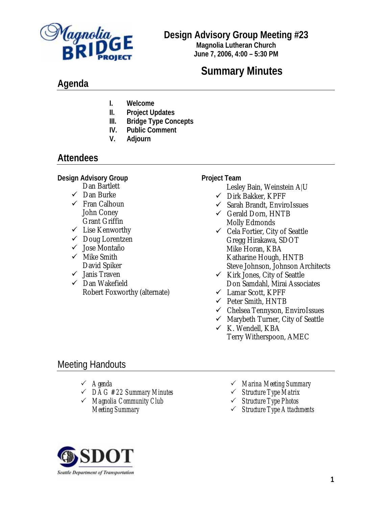

## **Design Advisory Group Meeting #23**

**Magnolia Lutheran Church June 7, 2006, 4:00 – 5:30 PM**

# **Summary Minutes**

# **Agenda**

- **I. Welcome**
- **II. Project Updates**
- **III. Bridge Type Concepts**
- **IV. Public Comment**
- **V. Adjourn**

## **Attendees**

**Design Advisory Group** 

- Dan Bartlett
- $\checkmark$  Dan Burke
- $\checkmark$  Fran Calhoun John Coney Grant Griffin
- $\checkmark$  Lise Kenworthy
- $\checkmark$  Doug Lorentzen
- $\checkmark$  Jose Montaño
- $\checkmark$  Mike Smith David Spiker
- $\checkmark$  Janis Traven
- $\checkmark$  Dan Wakefield Robert Foxworthy (alternate)

#### **Project Team**

- Lesley Bain, Weinstein A|U
- $\checkmark$  Dirk Bakker, KPFF
- $\checkmark$  Sarah Brandt, EnviroIssues
- $\checkmark$  Gerald Dorn, HNTB Molly Edmonds
- $\checkmark$  Cela Fortier, City of Seattle Gregg Hirakawa, SDOT Mike Horan, KBA Katharine Hough, HNTB Steve Johnson, Johnson Architects
- $\checkmark$  Kirk Jones, City of Seattle Don Samdahl, Mirai Associates
- $\checkmark$  Lamar Scott, KPFF
- $\checkmark$  Peter Smith, HNTB
- $\checkmark$  Chelsea Tennyson, EnviroIssues
- $\checkmark$  Marybeth Turner, City of Seattle
- $\times$  K. Wendell, KBA Terry Witherspoon, AMEC

## Meeting Handouts

- 3 *Agenda*
- 3 *DAG #22 Summary Minutes*
- 3 *Magnolia Community Club Meeting Summary*
- 3 *Marina Meeting Summary*
- 3 *Structure Type Matrix*
- 3 *Structure Type Photos*
- 3 *Structure Type Attachments*

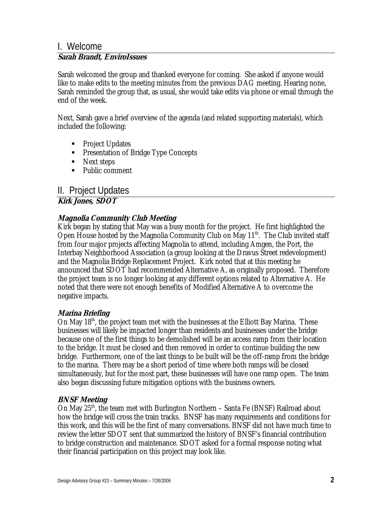#### I. Welcome **Sarah Brandt, EnviroIssues**

Sarah welcomed the group and thanked everyone for coming. She asked if anyone would like to make edits to the meeting minutes from the previous DAG meeting. Hearing none, Sarah reminded the group that, as usual, she would take edits via phone or email through the end of the week.

Next, Sarah gave a brief overview of the agenda (and related supporting materials), which included the following:

- Project Updates
- **Presentation of Bridge Type Concepts**
- Next steps
- Public comment

## II. Project Updates

**Kirk Jones, SDOT**

#### **Magnolia Community Club Meeting**

Kirk began by stating that May was a busy month for the project. He first highlighted the Open House hosted by the Magnolia Community Club on May  $11<sup>th</sup>$ . The Club invited staff from four major projects affecting Magnolia to attend, including Amgen, the Port, the Interbay Neighborhood Association (a group looking at the Dravus Street redevelopment) and the Magnolia Bridge Replacement Project. Kirk noted that at this meeting he announced that SDOT had recommended Alternative A, as originally proposed. Therefore the project team is no longer looking at any different options related to Alternative A. He noted that there were not enough benefits of Modified Alternative A to overcome the negative impacts.

#### **Marina Briefing**

On May 18<sup>th</sup>, the project team met with the businesses at the Elliott Bay Marina. These businesses will likely be impacted longer than residents and businesses under the bridge because one of the first things to be demolished will be an access ramp from their location to the bridge. It must be closed and then removed in order to continue building the new bridge. Furthermore, one of the last things to be built will be the off-ramp from the bridge to the marina. There may be a short period of time where both ramps will be closed simultaneously, but for the most part, these businesses will have one ramp open. The team also began discussing future mitigation options with the business owners.

#### **BNSF Meeting**

On May 25<sup>th</sup>, the team met with Burlington Northern – Santa Fe (BNSF) Railroad about how the bridge will cross the train tracks. BNSF has many requirements and conditions for this work, and this will be the first of many conversations. BNSF did not have much time to review the letter SDOT sent that summarized the history of BNSF's financial contribution to bridge construction and maintenance. SDOT asked for a formal response noting what their financial participation on this project may look like.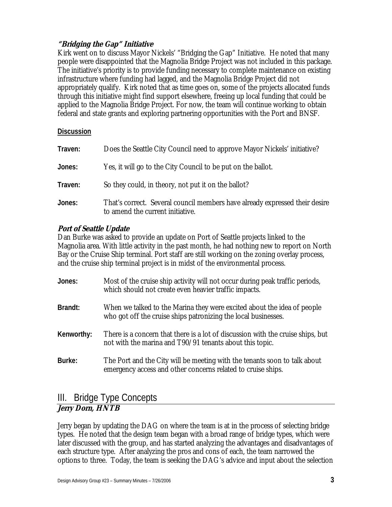#### **"Bridging the Gap" Initiative**

Kirk went on to discuss Mayor Nickels' "Bridging the Gap" Initiative. He noted that many people were disappointed that the Magnolia Bridge Project was not included in this package. The initiative's priority is to provide funding necessary to complete maintenance on existing infrastructure where funding had lagged, and the Magnolia Bridge Project did not appropriately qualify. Kirk noted that as time goes on, some of the projects allocated funds through this initiative might find support elsewhere, freeing up local funding that could be applied to the Magnolia Bridge Project. For now, the team will continue working to obtain federal and state grants and exploring partnering opportunities with the Port and BNSF.

#### **Discussion**

| Traven: | Does the Seattle City Council need to approve Mayor Nickels' initiative?                                        |
|---------|-----------------------------------------------------------------------------------------------------------------|
| Jones:  | Yes, it will go to the City Council to be put on the ballot.                                                    |
| Traven: | So they could, in theory, not put it on the ballot?                                                             |
| Jones:  | That's correct. Several council members have already expressed their desire<br>to amend the current initiative. |

#### **Port of Seattle Update**

Dan Burke was asked to provide an update on Port of Seattle projects linked to the Magnolia area. With little activity in the past month, he had nothing new to report on North Bay or the Cruise Ship terminal. Port staff are still working on the zoning overlay process, and the cruise ship terminal project is in midst of the environmental process.

| Jones:     | Most of the cruise ship activity will not occur during peak traffic periods,<br>which should not create even heavier traffic impacts.       |
|------------|---------------------------------------------------------------------------------------------------------------------------------------------|
| Brandt:    | When we talked to the Marina they were excited about the idea of people<br>who got off the cruise ships patronizing the local businesses.   |
| Kenworthy: | There is a concern that there is a lot of discussion with the cruise ships, but<br>not with the marina and T90/91 tenants about this topic. |
| Burke:     | The Port and the City will be meeting with the tenants soon to talk about<br>emergency access and other concerns related to cruise ships.   |

# III. Bridge Type Concepts

#### **Jerry Dorn, HNTB**

Jerry began by updating the DAG on where the team is at in the process of selecting bridge types. He noted that the design team began with a broad range of bridge types, which were later discussed with the group, and has started analyzing the advantages and disadvantages of each structure type. After analyzing the pros and cons of each, the team narrowed the options to three. Today, the team is seeking the DAG's advice and input about the selection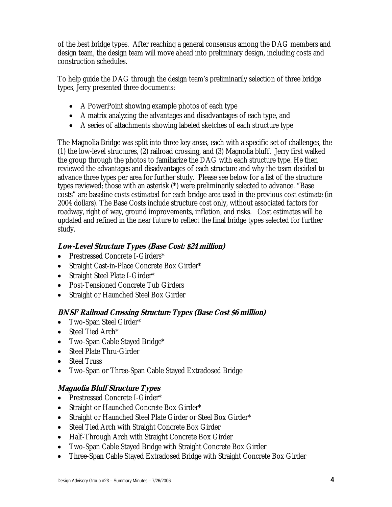of the best bridge types. After reaching a general consensus among the DAG members and design team, the design team will move ahead into preliminary design, including costs and construction schedules.

To help guide the DAG through the design team's preliminarily selection of three bridge types, Jerry presented three documents:

- A PowerPoint showing example photos of each type
- A matrix analyzing the advantages and disadvantages of each type, and
- A series of attachments showing labeled sketches of each structure type

The Magnolia Bridge was split into three key areas, each with a specific set of challenges, the (1) the low-level structures, (2) railroad crossing, and (3) Magnolia bluff. Jerry first walked the group through the photos to familiarize the DAG with each structure type. He then reviewed the advantages and disadvantages of each structure and why the team decided to advance three types per area for further study. Please see below for a list of the structure types reviewed; those with an asterisk (\*) were preliminarily selected to advance. "Base costs" are baseline costs estimated for each bridge area used in the previous cost estimate (in 2004 dollars). The Base Costs include structure cost only, without associated factors for roadway, right of way, ground improvements, inflation, and risks. Cost estimates will be updated and refined in the near future to reflect the final bridge types selected for further study.

### **Low-Level Structure Types (Base Cost: \$24 million)**

- Prestressed Concrete I-Girders\*
- Straight Cast-in-Place Concrete Box Girder\*
- Straight Steel Plate I-Girder\*
- Post-Tensioned Concrete Tub Girders
- Straight or Haunched Steel Box Girder

#### **BNSF Railroad Crossing Structure Types (Base Cost \$6 million)**

- Two-Span Steel Girder\*
- Steel Tied Arch\*
- Two-Span Cable Stayed Bridge\*
- Steel Plate Thru-Girder
- Steel Truss
- Two-Span or Three-Span Cable Stayed Extradosed Bridge

### **Magnolia Bluff Structure Types**

- Prestressed Concrete I-Girder\*
- Straight or Haunched Concrete Box Girder\*
- Straight or Haunched Steel Plate Girder or Steel Box Girder\*
- Steel Tied Arch with Straight Concrete Box Girder
- Half-Through Arch with Straight Concrete Box Girder
- Two-Span Cable Stayed Bridge with Straight Concrete Box Girder
- Three-Span Cable Stayed Extradosed Bridge with Straight Concrete Box Girder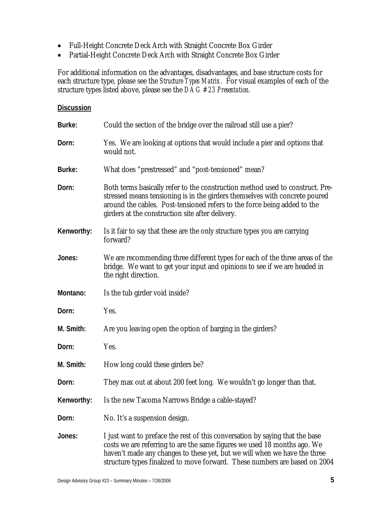- Full-Height Concrete Deck Arch with Straight Concrete Box Girder
- Partial-Height Concrete Deck Arch with Straight Concrete Box Girder

For additional information on the advantages, disadvantages, and base structure costs for each structure type, please see the *Structure Types Matrix.* For visual examples of each of the structure types listed above, please see the *DAG #23 Presentation*.

#### **Discussion**

| Burke:     | Could the section of the bridge over the railroad still use a pier?                                                                                                                                                                                                                                                 |
|------------|---------------------------------------------------------------------------------------------------------------------------------------------------------------------------------------------------------------------------------------------------------------------------------------------------------------------|
| Dorn:      | Yes. We are looking at options that would include a pier and options that<br>would not.                                                                                                                                                                                                                             |
| Burke:     | What does "prestressed" and "post-tensioned" mean?                                                                                                                                                                                                                                                                  |
| Dorn:      | Both terms basically refer to the construction method used to construct. Pre-<br>stressed means tensioning is in the girders themselves with concrete poured<br>around the cables. Post-tensioned refers to the force being added to the<br>girders at the construction site after delivery.                        |
| Kenworthy: | Is it fair to say that these are the only structure types you are carrying<br>forward?                                                                                                                                                                                                                              |
| Jones:     | We are recommending three different types for each of the three areas of the<br>bridge. We want to get your input and opinions to see if we are headed in<br>the right direction.                                                                                                                                   |
| Montano:   | Is the tub girder void inside?                                                                                                                                                                                                                                                                                      |
| Dorn:      | Yes.                                                                                                                                                                                                                                                                                                                |
| M. Smith:  | Are you leaving open the option of barging in the girders?                                                                                                                                                                                                                                                          |
| Dorn:      | Yes.                                                                                                                                                                                                                                                                                                                |
| M. Smith:  | How long could these girders be?                                                                                                                                                                                                                                                                                    |
| Dorn:      | They max out at about 200 feet long. We wouldn't go longer than that.                                                                                                                                                                                                                                               |
| Kenworthy: | Is the new Tacoma Narrows Bridge a cable-stayed?                                                                                                                                                                                                                                                                    |
| Dorn:      | No. It's a suspension design.                                                                                                                                                                                                                                                                                       |
| Jones:     | I just want to preface the rest of this conversation by saying that the base<br>costs we are referring to are the same figures we used 18 months ago. We<br>haven't made any changes to these yet, but we will when we have the three<br>structure types finalized to move forward. These numbers are based on 2004 |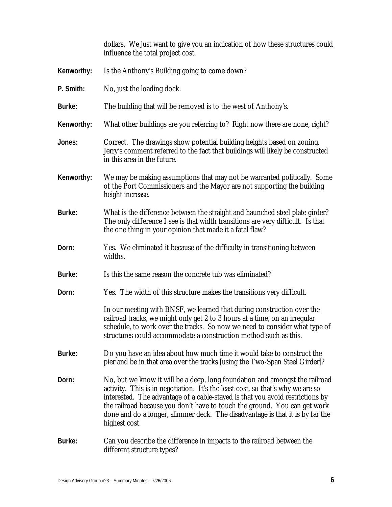dollars. We just want to give you an indication of how these structures could influence the total project cost.

- **Kenworthy:** Is the Anthony's Building going to come down?
- **P. Smith:** No, just the loading dock.
- **Burke:** The building that will be removed is to the west of Anthony's.
- **Kenworthy:** What other buildings are you referring to? Right now there are none, right?
- **Jones:** Correct. The drawings show potential building heights based on zoning. Jerry's comment referred to the fact that buildings will likely be constructed in this area in the future.
- **Kenworthy:** We may be making assumptions that may not be warranted politically. Some of the Port Commissioners and the Mayor are not supporting the building height increase.
- **Burke:** What is the difference between the straight and haunched steel plate girder? The only difference I see is that width transitions are very difficult. Is that the one thing in your opinion that made it a fatal flaw?
- **Dorn:** Yes. We eliminated it because of the difficulty in transitioning between widths.
- **Burke:** Is this the same reason the concrete tub was eliminated?
- **Dorn:** Yes. The width of this structure makes the transitions very difficult.

In our meeting with BNSF, we learned that during construction over the railroad tracks, we might only get 2 to 3 hours at a time, on an irregular schedule, to work over the tracks. So now we need to consider what type of structures could accommodate a construction method such as this.

- **Burke:** Do you have an idea about how much time it would take to construct the pier and be in that area over the tracks [using the Two-Span Steel Girder]?
- **Dorn:** No, but we know it will be a deep, long foundation and amongst the railroad activity. This is in negotiation. It's the least cost, so that's why we are so interested. The advantage of a cable-stayed is that you avoid restrictions by the railroad because you don't have to touch the ground. You can get work done and do a longer, slimmer deck. The disadvantage is that it is by far the highest cost.
- **Burke:** Can you describe the difference in impacts to the railroad between the different structure types?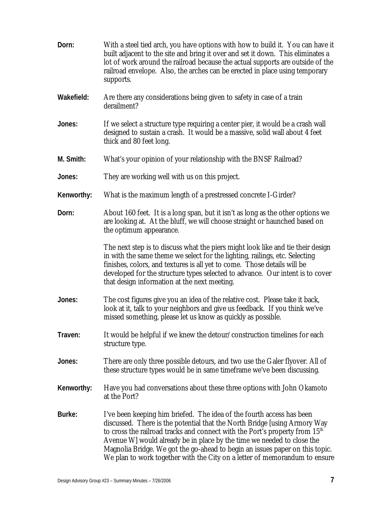| Dorn:      | With a steel tied arch, you have options with how to build it. You can have it<br>built adjacent to the site and bring it over and set it down. This eliminates a<br>lot of work around the railroad because the actual supports are outside of the<br>railroad envelope. Also, the arches can be erected in place using temporary<br>supports.                                                                                                                                       |
|------------|---------------------------------------------------------------------------------------------------------------------------------------------------------------------------------------------------------------------------------------------------------------------------------------------------------------------------------------------------------------------------------------------------------------------------------------------------------------------------------------|
| Wakefield: | Are there any considerations being given to safety in case of a train<br>derailment?                                                                                                                                                                                                                                                                                                                                                                                                  |
| Jones:     | If we select a structure type requiring a center pier, it would be a crash wall<br>designed to sustain a crash. It would be a massive, solid wall about 4 feet<br>thick and 80 feet long.                                                                                                                                                                                                                                                                                             |
| M. Smith:  | What's your opinion of your relationship with the BNSF Railroad?                                                                                                                                                                                                                                                                                                                                                                                                                      |
| Jones:     | They are working well with us on this project.                                                                                                                                                                                                                                                                                                                                                                                                                                        |
| Kenworthy: | What is the maximum length of a prestressed concrete I-Girder?                                                                                                                                                                                                                                                                                                                                                                                                                        |
| Dorn:      | About 160 feet. It is a long span, but it isn't as long as the other options we<br>are looking at. At the bluff, we will choose straight or haunched based on<br>the optimum appearance.                                                                                                                                                                                                                                                                                              |
|            | The next step is to discuss what the piers might look like and tie their design<br>in with the same theme we select for the lighting, railings, etc. Selecting<br>finishes, colors, and textures is all yet to come. Those details will be<br>developed for the structure types selected to advance. Our intent is to cover<br>that design information at the next meeting.                                                                                                           |
| Jones:     | The cost figures give you an idea of the relative cost. Please take it back,<br>look at it, talk to your neighbors and give us feedback. If you think we've<br>missed something, please let us know as quickly as possible.                                                                                                                                                                                                                                                           |
| Traven:    | It would be helpful if we knew the detour/construction timelines for each<br>structure type.                                                                                                                                                                                                                                                                                                                                                                                          |
| Jones:     | There are only three possible detours, and two use the Galer flyover. All of<br>these structure types would be in same timeframe we've been discussing.                                                                                                                                                                                                                                                                                                                               |
| Kenworthy: | Have you had conversations about these three options with John Okamoto<br>at the Port?                                                                                                                                                                                                                                                                                                                                                                                                |
| Burke:     | I've been keeping him briefed. The idea of the fourth access has been<br>discussed. There is the potential that the North Bridge [using Armory Way<br>to cross the railroad tracks and connect with the Port's property from 15 <sup>th</sup><br>Avenue W] would already be in place by the time we needed to close the<br>Magnolia Bridge. We got the go-ahead to begin an issues paper on this topic.<br>We plan to work together with the City on a letter of memorandum to ensure |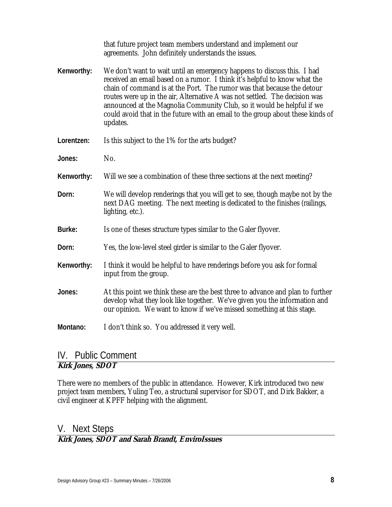|            | that future project team members understand and implement our<br>agreements. John definitely understands the issues.                                                                                                                                                                                                                                                                                                                                                                 |
|------------|--------------------------------------------------------------------------------------------------------------------------------------------------------------------------------------------------------------------------------------------------------------------------------------------------------------------------------------------------------------------------------------------------------------------------------------------------------------------------------------|
| Kenworthy: | We don't want to wait until an emergency happens to discuss this. I had<br>received an email based on a rumor. I think it's helpful to know what the<br>chain of command is at the Port. The rumor was that because the detour<br>routes were up in the air, Alternative A was not settled. The decision was<br>announced at the Magnolia Community Club, so it would be helpful if we<br>could avoid that in the future with an email to the group about these kinds of<br>updates. |
| Lorentzen: | Is this subject to the 1% for the arts budget?                                                                                                                                                                                                                                                                                                                                                                                                                                       |
| Jones:     | No.                                                                                                                                                                                                                                                                                                                                                                                                                                                                                  |
| Kenworthy: | Will we see a combination of these three sections at the next meeting?                                                                                                                                                                                                                                                                                                                                                                                                               |
| Dorn:      | We will develop renderings that you will get to see, though maybe not by the<br>next DAG meeting. The next meeting is dedicated to the finishes (railings,<br>lighting, etc.).                                                                                                                                                                                                                                                                                                       |
| Burke:     | Is one of theses structure types similar to the Galer flyover.                                                                                                                                                                                                                                                                                                                                                                                                                       |
| Dorn:      | Yes, the low-level steel girder is similar to the Galer flyover.                                                                                                                                                                                                                                                                                                                                                                                                                     |
| Kenworthy: | I think it would be helpful to have renderings before you ask for formal<br>input from the group.                                                                                                                                                                                                                                                                                                                                                                                    |
| Jones:     | At this point we think these are the best three to advance and plan to further<br>develop what they look like together. We've given you the information and<br>our opinion. We want to know if we've missed something at this stage.                                                                                                                                                                                                                                                 |
| Montano:   | I don't think so. You addressed it very well.                                                                                                                                                                                                                                                                                                                                                                                                                                        |

# IV. Public Comment

## **Kirk Jones, SDOT**

There were no members of the public in attendance. However, Kirk introduced two new project team members, Yuling Teo, a structural supervisor for SDOT, and Dirk Bakker, a civil engineer at KPFF helping with the alignment.

## V. Next Steps

### **Kirk Jones, SDOT and Sarah Brandt, EnviroIssues**